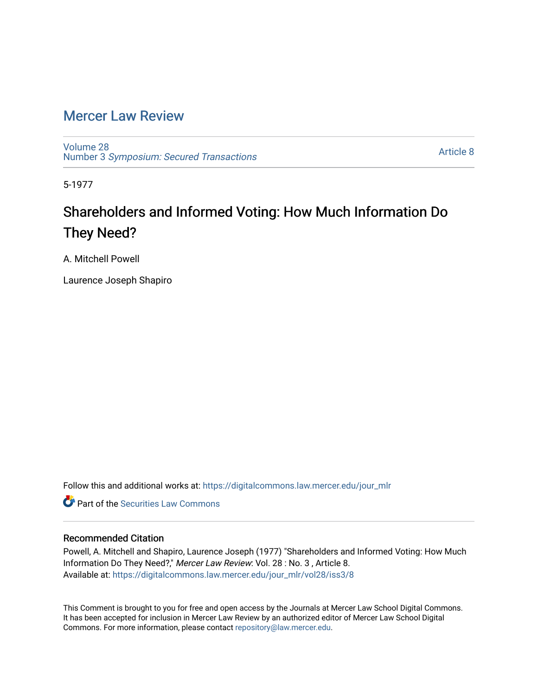## [Mercer Law Review](https://digitalcommons.law.mercer.edu/jour_mlr)

[Volume 28](https://digitalcommons.law.mercer.edu/jour_mlr/vol28) Number 3 [Symposium: Secured Transactions](https://digitalcommons.law.mercer.edu/jour_mlr/vol28/iss3)

[Article 8](https://digitalcommons.law.mercer.edu/jour_mlr/vol28/iss3/8) 

5-1977

# Shareholders and Informed Voting: How Much Information Do They Need?

A. Mitchell Powell

Laurence Joseph Shapiro

Follow this and additional works at: [https://digitalcommons.law.mercer.edu/jour\\_mlr](https://digitalcommons.law.mercer.edu/jour_mlr?utm_source=digitalcommons.law.mercer.edu%2Fjour_mlr%2Fvol28%2Fiss3%2F8&utm_medium=PDF&utm_campaign=PDFCoverPages)

**C** Part of the Securities Law Commons

### Recommended Citation

Powell, A. Mitchell and Shapiro, Laurence Joseph (1977) "Shareholders and Informed Voting: How Much Information Do They Need?," Mercer Law Review: Vol. 28 : No. 3 , Article 8. Available at: [https://digitalcommons.law.mercer.edu/jour\\_mlr/vol28/iss3/8](https://digitalcommons.law.mercer.edu/jour_mlr/vol28/iss3/8?utm_source=digitalcommons.law.mercer.edu%2Fjour_mlr%2Fvol28%2Fiss3%2F8&utm_medium=PDF&utm_campaign=PDFCoverPages)

This Comment is brought to you for free and open access by the Journals at Mercer Law School Digital Commons. It has been accepted for inclusion in Mercer Law Review by an authorized editor of Mercer Law School Digital Commons. For more information, please contact [repository@law.mercer.edu.](mailto:repository@law.mercer.edu)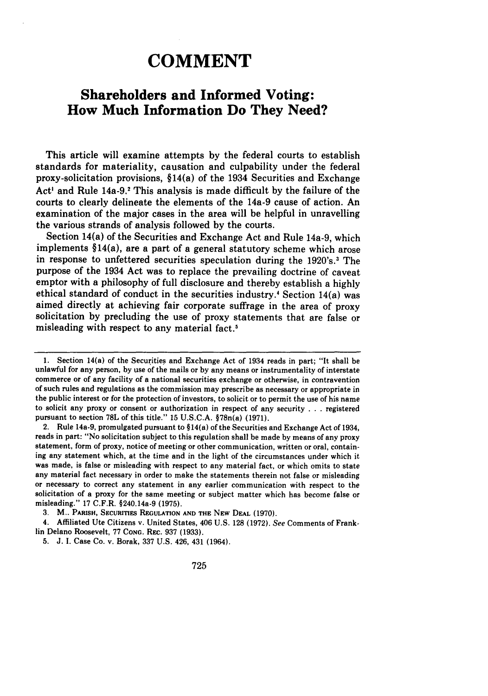# **COMMENT**

### **Shareholders and Informed Voting: How Much Information Do They Need?**

This article will examine attempts **by** the federal courts to establish standards for materiality, causation and culpability under the federal proxy-solicitation provisions, §14(a) of the 1934 Securities and Exchange Act<sup>1</sup> and Rule 14a-9.<sup>2</sup> This analysis is made difficult by the failure of the courts to clearly delineate the elements of the 14a-9 cause of action. An examination of the major cases in the area will be helpful in unravelling the various strands of analysis followed **by** the courts.

Section 14(a) of the Securities and Exchange Act and Rule 14a-9, which implements §14(a), are a part of a general statutory scheme which arose in response to unfettered securities speculation during the 1920's.' The purpose of the 1934 Act was to replace the prevailing doctrine of caveat emptor with a philosophy of full disclosure and thereby establish a **highly** ethical standard of conduct in the securities industry.<sup>4</sup> Section  $14(a)$  was aimed directly at achieving fair corporate suffrage in the area of proxy solicitation **by** precluding the use of proxy statements that are false or misleading with respect to any material fact.5

**<sup>1.</sup>** Section 14(a) of the Securities and Exchange Act of 1934 reads in part; "It shall be unlawful for any person, **by** use of the mails or **by** any means or instrumentality of interstate commerce or of any facility of a national securities exchange or otherwise, in contravention of such rules and regulations as the commission may prescribe as necessary or appropriate in the public interest or for the protection of investors, to solicit or to permit the use of his name to solicit any proxy or consent or authorization in respect of any security **. . .** registered pursuant to section **78L** of this title." **15 U.S.C.A.** §78n(a) **(1971).**

<sup>2.</sup> Rule 14a-9, promulgated pursuant to § 14(a) of the Securities and Exchange Act of 1934, reads in part: "No solicitation subject to this regulation shall be made **by** means of any proxy statement, form of proxy, notice of meeting or other communication, written or oral, containing any statement which, at the time and in the light of the circumstances under which it was made, is false or misleading with respect to any material fact, or which omits to state any material fact necessary in order to make the statements therein not false or misleading or necessary to correct any statement in any earlier communication with respect to the solicitation of a proxy for the same meeting or subject matter which has become false or misleading." **17** C.F.R. §240.14a-9 **(1975).**

**<sup>3.</sup>** M.. **PARISH, SECURITIES REGULATION AND THE NEW DEAL (1970).**

<sup>4.</sup> Affiliated Ute Citizens v. United States, 406 **U.S. 128 (1972).** See Comments of Franklin Delano Roosevelt, **77 CONG.** REc. **937 (1933).**

**<sup>5.</sup> J.** I. Case Co. v. Borak, **337 U.S.** 426, 431 (1964).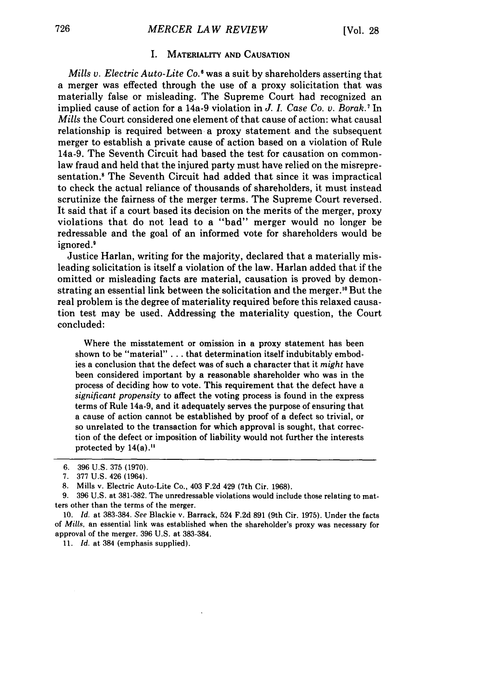#### I. **MATERIALITY AND CAUSATION**

*Mills v. Electric Auto-Lite* Co.' was a suit **by** shareholders asserting that a merger was effected through the use of a proxy solicitation that was materially false or misleading. The Supreme Court had recognized an implied cause of action for a 14a-9 violation in *J. I. Case Co. v. Borak.7* In *Mills* the Court considered one element of that cause of action: what causal relationship is required between a proxy statement and the subsequent merger to establish a private cause of action based on a violation of Rule 14a-9. The Seventh Circuit had based the test for causation on commonlaw fraud and held that the injured party must have relied on the misrepresentation.<sup>8</sup> The Seventh Circuit had added that since it was impractical to check the actual reliance of thousands of shareholders, it must instead scrutinize the fairness of the merger terms. The Supreme Court reversed. It said that if a court based its decision on the merits of the merger, proxy violations that do not lead to a "bad" merger would no longer be redressable and the goal of an informed vote for shareholders would be ignored.'

Justice Harlan, writing for the majority, declared that a materially misleading solicitation is itself a violation of the law. Harlan added that if the omitted or misleading facts are material, causation is proved **by** demonstrating an essential link between the solicitation and the merger." But the real problem is the degree of materiality required before this relaxed causation test may be used. Addressing the materiality question, the Court concluded:

Where the misstatement or omission in a proxy statement has been shown to be "material" **. ..** that determination itself indubitably embodies a conclusion that the defect was of such a character that it *might* have been considered important **by** a reasonable shareholder who was in the process of deciding how to vote. This requirement that the defect have a *significant propensity* to affect the voting process is found in the express terms of Rule 14a-9, and it adequately serves the purpose of ensuring that a cause of action cannot be established **by** proof of a defect so trivial, or so unrelated to the transaction for which approval is sought, that correction of the defect or imposition of liability would not further the interests protected **by** 14(a)."

11. *Id.* at 384 (emphasis supplied).

**<sup>6. 396</sup> U.S. 375 (1970).**

**<sup>7. 377</sup> U.S.** 426 (1964).

**<sup>8.</sup>** Mills v. Electric Auto-Lite Co., 403 **F.2d** 429 (7th Cir. **1968).**

**<sup>9. 396</sup> U.S.** at **381-382.** The unredressable violations would include those relating to matters other than the terms of the merger.

<sup>10.</sup> *Id.* at 383-384. *See* Blackie v. Barrack, 524 F.2d **891** (9th Cir. 1975). Under the facts of *Mills,* an essential link was established when the shareholder's proxy was necessary for approval of the merger. 396 U.S. at 383-384.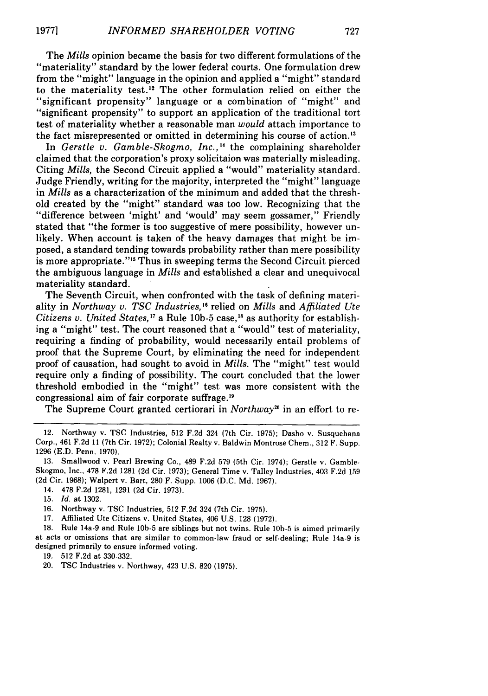In *Gerstle v. Gamble-Skogmo, Inc.,"* the complaining shareholder claimed that the corporation's proxy solicitaion was materially misleading. Citing *Mills,* the Second Circuit applied a "would" materiality standard. Judge Friendly, writing for the majority, interpreted the "might" language in *Mills* as a characterization of the minimum and added that the threshold created by the "might" standard was too low. Recognizing that the "difference between 'might' and 'would' may seem gossamer," Friendly stated that "the former is too suggestive of mere possibility, however unlikely. When account is taken of the heavy damages that might be imposed, a standard tending towards probability rather than mere possibility is more appropriate."<sup>15</sup> Thus in sweeping terms the Second Circuit pierced the ambiguous language in *Mills* and established a clear and unequivocal materiality standard.

The Seventh Circuit, when confronted with the task of defining materiality in *Northway v. TSC Industries,"* relied on *Mills* and *Affiliated Ute Citizens v. United States*,<sup>17</sup> a Rule 10b-5 case,<sup>18</sup> as authority for establishing a "might" test. The court reasoned that a "would" test of materiality, requiring a finding of probability, would necessarily entail problems of proof that the Supreme Court, by eliminating the need for independent proof of causation, had sought to avoid in *Mills.* The "might" test would require only a finding of possibility. The court concluded that the lower threshold embodied in the "might" test was more consistent with the congressional aim of fair corporate suffrage.'

The Supreme Court granted certiorari in *Northway*<sup>20</sup> in an effort to re-

14. 478 F.2d 1281, 1291 (2d Cir. 1973).

<sup>12.</sup> Northway v. **TSC** Industries, 512 F.2d 324 (7th Cir. 1975); Dasho v. Susquehana Corp., 461 F.2d 11 (7th Cir. 1972); Colonial Realty v. Baldwin Montrose Chem., 312 F. Supp. 1296 (E.D. Penn. 1970).

<sup>13.</sup> Smallwood v. Pearl Brewing Co., 489 F.2d 579 (5th Cir. 1974); Gerstle v. Gamble-Skogmo, Inc., 478 F.2d 1281 (2d Cir. 1973); General Time v. Talley Industries, 403 F.2d 159 **(2d** Cir. 1968); Walpert v. Bart, 280 F. Supp. 1006 (D.C. Md. 1967).

<sup>15.</sup> *Id.* at 1302.

<sup>16.</sup> Northway v. TSC Industries, 512 F.2d 324 (7th Cir. 1975).

<sup>17.</sup> Affiliated Ute Citizens v. United States, 406 U.S. 128 (1972).

<sup>18.</sup> Rule 14a-9 and Rule 10b-5 are siblings but not twins. Rule **10b-5** is aimed primarily at acts or omissions that are similar to common-law fraud or self-dealing; Rule 14a-9 is designed primarily to ensure informed voting.

**<sup>19.</sup>** 512 F.2d at 330-332.

<sup>20.</sup> TSC Industries v. Northway, 423 U.S. 820 (1975).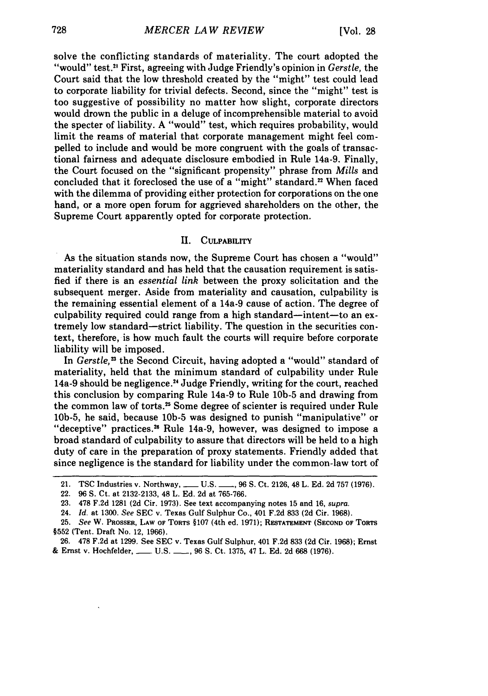solve the conflicting standards of materiality. The court adopted the "would" test."' First, agreeing with Judge Friendly's opinion in *Gerstle,* the Court said that the low threshold created by the "might" test could lead to corporate liability for trivial defects. Second, since the "might" test is too suggestive of possibility no matter how slight, corporate directors would drown the public in a deluge of incomprehensible material to avoid the specter of liability. A "would" test, which requires probability, would limit the reams of material that corporate management might feel compelled to include and would be more congruent with the goals of transactional fairness and adequate disclosure embodied in Rule 14a-9. Finally, the Court focused on the "significant propensity" phrase from *Mills* and concluded that it foreclosed the use of a "might" standard.<sup>22</sup> When faced with the dilemma of providing either protection for corporations on the one hand, or a more open forum for aggrieved shareholders on the other, the Supreme Court apparently opted for corporate protection.

### **I1.** CULPABILITY

As the situation stands now, the Supreme Court has chosen a "would" materiality standard and has held that the causation requirement is satisfied if there is an *essential link* between the proxy solicitation and the subsequent merger. Aside from materiality and causation, culpability is the remaining essential element of a 14a-9 cause of action. The degree of culpability required could range from a high standard—intent—to an extremely low standard-strict liability. The question in the securities context, therefore, is how much fault the courts will require before corporate liability will be imposed.

In *Gerstle*,<sup>23</sup> the Second Circuit, having adopted a "would" standard of materiality, held that the minimum standard of culpability under Rule 14a-9 should be negligence.<sup>24</sup> Judge Friendly, writing for the court, reached this conclusion by comparing Rule 14a-9 to Rule **10b-5** and drawing from the common law of torts. 25 Some degree of scienter is required under Rule 10b-5, he said, because **10b-5** was designed to punish "manipulative" or "deceptive" practices.<sup>26</sup> Rule 14a-9, however, was designed to impose a broad standard of culpability to assure that directors will be held to a high duty of care in the preparation of proxy statements. Friendly added that since negligence is the standard for liability under the common-law tort of

<sup>21.</sup> **TSC Industries v. Northway, \_\_\_ U.S. \_\_\_, 96 S. Ct. 2126, 48 L. Ed. 2d 757 (1976).** 

<sup>22.</sup> **96 S.** Ct. at **2132-2133,** 48 L. **Ed. 2d** at **765-766.**

**<sup>23. 478</sup> F.2d 1281 (2d** Cir. **1973).** See text accompanying notes **15** and **16,** supra.

<sup>24.</sup> *Id.* at **1300.** *See* **SEC** v. Texas Gulf Sulphur Co., 401 **F.2d 833 (2d** Cir. **1968).**

**<sup>25.</sup>** *See* W. **PROSSER, LAW OF TORTS** §107 (4th ed. **1971); RESTATEMENT (SECOND OF TORTS §552** (Tent. Draft No. 12, **1966).**

**<sup>26. 478</sup> F.2d** at **1299.** See **SEC** v. Texas Gulf Sulphur, 401 **F.2d 833 (2d** Cir. **1968);** Ernst **&** Ernst v. Hochfelder, **- U.S. , 96 S.** Ct. **1375,** 47 L. **Ed. 2d 668 (1976).**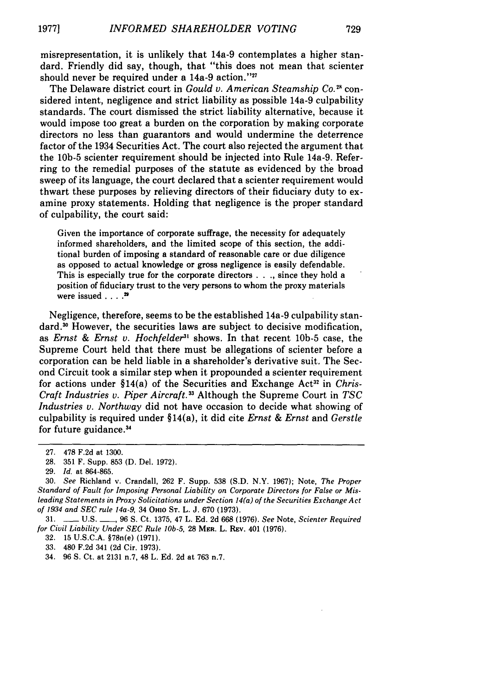misrepresentation, it is unlikely that 14a-9 contemplates a higher standard. Friendly did say, though, that "this does not mean that scienter should never be required under a  $14a-9$  action." $27$ 

The Delaware district court in *Gould v. American Steamship Co.*<sup>28</sup> considered intent, negligence and strict liability as possible 14a-9 culpability standards. The court dismissed the strict liability alternative, because it would impose too great a burden on the corporation by making corporate directors no less than guarantors and would undermine the deterrence factor of the 1934 Securities Act. The court also rejected the argument that the **10b-5** scienter requirement should be injected into Rule 14a-9. Referring to the remedial purposes of the statute as evidenced by the broad sweep of its language, the court declared that a scienter requirement would thwart these purposes by relieving directors of their fiduciary duty to examine proxy statements. Holding that negligence is the proper standard of culpability, the court said:

Given the importance of corporate suffrage, the necessity for adequately informed shareholders, and the limited scope of this section, the additional burden of imposing a standard of reasonable care or due diligence as opposed to actual knowledge or gross negligence is easily defendable. This is especially true for the corporate directors . **. .,** since they hold a position of fiduciary trust to the very persons to whom the proxy materials were issued . . . .<sup>29</sup>

Negligence, therefore, seems to be the established 14a-9 culpability stan- $\alpha$  However, the securities laws are subject to decisive modification, as *Ernst & Ernst v. Hochfelder3'* shows. In that recent **10b-5** case, the Supreme Court held that there must be allegations of scienter before a corporation can be held liable in a shareholder's derivative suit. The Second Circuit took a similar step when it propounded a scienter requirement for actions under §14(a) of the Securities and Exchange Act<sup>32</sup> in *Chris-*Craft Industries v. Piper Aircraft.<sup>33</sup> Although the Supreme Court in *TSC Industries v. Northway* did not have occasion to decide what showing of culpability is required under §14(a), it did cite *Ernst & Ernst* and *Gerstle* for future guidance.<sup>34</sup>

31. **-** U.S. **-,** 96 **S.** Ct. 1375, 47 L. Ed. 2d 668 (1976). *See* Note, *Scienter Required for Civil Liability Under SEC Rule 10b-5, 28 MER. L. REV. 401 (1976).* 

**32.** 15 U.S.C.A. §78n(e) **(1971).**

33. 480 F.2d 341 (2d Cir. 1973).

<sup>27. 478</sup> F.2d at 1300.

<sup>28. 351</sup> F. Supp. 853 **(D.** Del. 1972).

<sup>29.</sup> *Id.* at 864-865.

<sup>30.</sup> *See* Richland v. Crandall, 262 F. Supp. 538 (S.D. N.Y. 1967); Note, *The Proper Standard of Fault for Imposing Personal Liability on Corporate Directors for False or Misleading Statements in Proxy Solicitations under Section 14(a) of the Securities Exchange Act of 1934 and SEC rule 14a-9,* 34 Ooo **ST.** L. **J.** 670 (1973).

<sup>34. 96</sup> **S.** Ct. at 2131 n.7, 48 L. Ed. 2d at 763 n.7.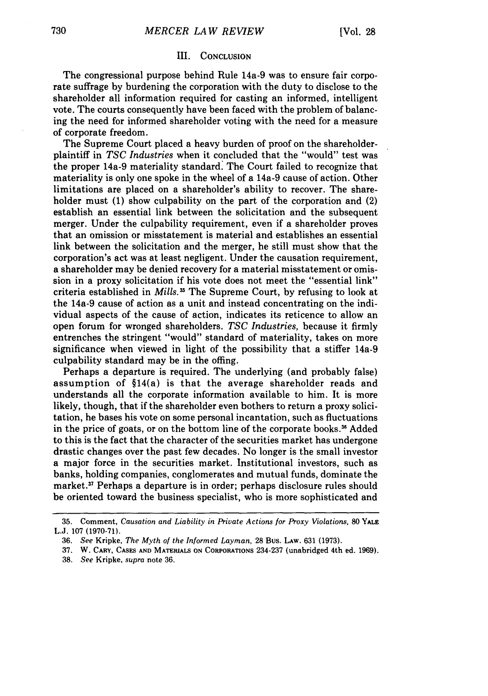### III. **CONCLUSION**

The congressional purpose behind Rule 14a-9 was to ensure fair corporate suffrage by burdening the corporation with the duty to disclose to the shareholder all information required for casting an informed, intelligent vote. The courts consequently have been faced with the problem of balancing the need for informed shareholder voting with the need for a measure of corporate freedom.

The Supreme Court placed a heavy burden of proof on the shareholderplaintiff in *TSC Industries* when it concluded that the "would" test was the proper 14a-9 materiality standard: The Court failed to recognize that materiality is only one spoke in the wheel of a 14a-9 cause of action. Other limitations are placed on a shareholder's ability to recover. The shareholder must (1) show culpability on the part of the corporation and (2) establish an essential link between the solicitation and the subsequent merger. Under the culpability requirement, even if a shareholder proves that an omission or misstatement is material and establishes an essential link between the solicitation and the merger, he still must show that the corporation's act was at least negligent. Under the causation requirement, a shareholder may be denied recovery for a material misstatement or omission in a proxy solicitation if his vote does not meet the "essential link" criteria established in *Mills.* 3 The Supreme Court, by refusing to look at the 14a-9 cause of action as a unit and instead concentrating on the individual aspects of the cause of action, indicates its reticence to allow an open forum for wronged shareholders. *TSC Industries,* because it firmly entrenches the stringent "would" standard of materiality, takes on more significance when viewed in light of the possibility that a stiffer 14a-9 culpability standard may be in the offing.

Perhaps a departure is required. The underlying (and probably false) assumption of §14(a) is that the average shareholder reads and understands all the corporate information available to him. It is more likely, though, that if the shareholder even bothers to return a proxy solicitation, he bases his vote on some personal incantation, such as fluctuations in the price of goats, or on the bottom line of the corporate books.<sup>36</sup> Added to this is the fact that the character of the securities market has undergone drastic changes over the past few decades. No longer is the small investor a major force in the securities market. Institutional investors, such as banks, holding companies, conglomerates and mutual funds, dominate the market.<sup>37</sup> Perhaps a departure is in order; perhaps disclosure rules should be oriented toward the business specialist, who is more sophisticated and

**<sup>35.</sup> Comment,** *Causation and Liability in Private Actions for Proxy Violations,* **80 YALE** L.J. 107 (1970-71).

<sup>36.</sup> *See* Kripke, *The Myth of the Informed Layman,* 28 Bus. LAW. 631 (1973).

<sup>37.</sup> W. **CARY, CASES AND MATERIALS ON CORPORATIONS** 234-237 (unabridged 4th ed. 1969).

<sup>38.</sup> *See* Kripke, *supra* note 36.